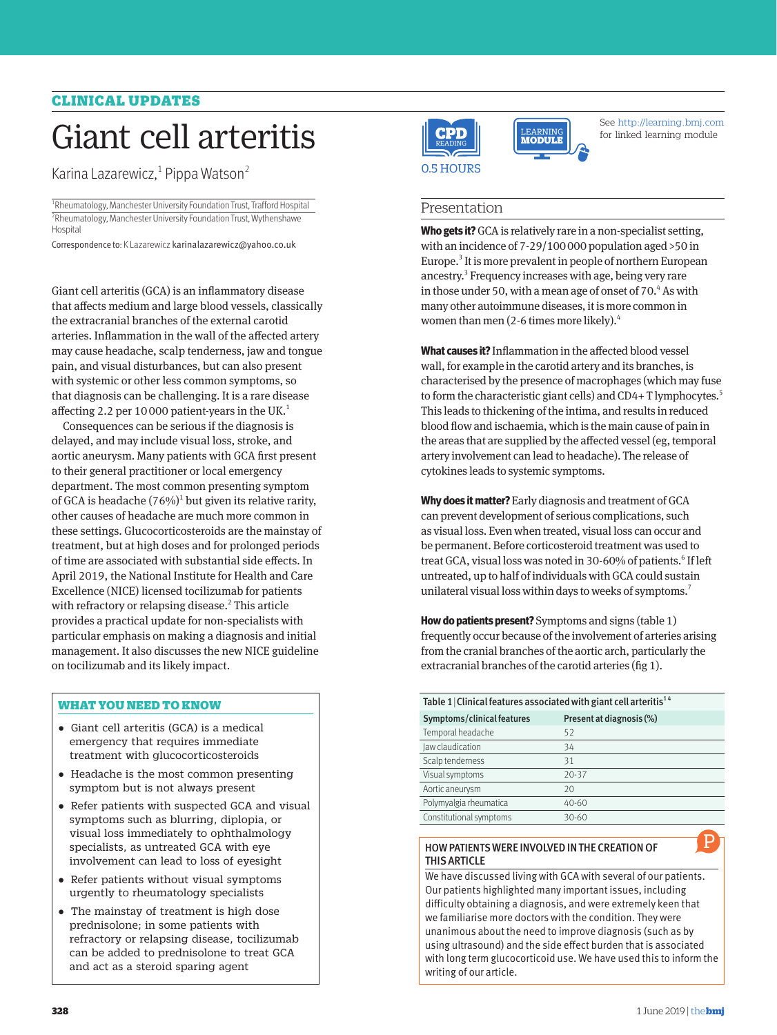# CLINICAL UPDATES

# Giant cell arteritis

Karina Lazarewicz,<sup>1</sup> Pippa Watson<sup>2</sup>

<sup>1</sup>Rheumatology, Manchester University Foundation Trust, Trafford Hospital <sup>2</sup>Rheumatology, Manchester University Foundation Trust, Wythenshawe **Hospital** 

Correspondence to: K Lazarewicz karinalazarewicz@yahoo.co.uk

Giant cell arteritis (GCA) is an inflammatory disease that affects medium and large blood vessels, classically the extracranial branches of the external carotid arteries. Inflammation in the wall of the affected artery may cause headache, scalp tenderness, jaw and tongue pain, and visual disturbances, but can also present with systemic or other less common symptoms, so that diagnosis can be challenging. It is a rare disease affecting 2.2 per 10000 patient-years in the UK. $<sup>1</sup>$ </sup>

Consequences can be serious if the diagnosis is delayed, and may include visual loss, stroke, and aortic aneurysm. Many patients with GCA first present to their general practitioner or local emergency department. The most common presenting symptom of GCA is headache  $(76%)<sup>1</sup>$  but given its relative rarity, other causes of headache are much more common in these settings. Glucocorticosteroids are the mainstay of treatment, but at high doses and for prolonged periods of time are associated with substantial side effects. In April 2019, the National Institute for Health and Care Excellence (NICE) licensed tocilizumab for patients with refractory or relapsing disease.<sup>2</sup> This article provides a practical update for non-specialists with particular emphasis on making a diagnosis and initial management. It also discusses the new NICE guideline on tocilizumab and its likely impact.

# WHAT YOU NEED TO KNOW

- •  Giant cell arteritis (GCA) is a medical emergency that requires immediate treatment with glucocorticosteroids
- •  Headache is the most common presenting symptom but is not always present
- •  Refer patients with suspected GCA and visual symptoms such as blurring, diplopia, or visual loss immediately to ophthalmology specialists, as untreated GCA with eye involvement can lead to loss of eyesight
- •  Refer patients without visual symptoms urgently to rheumatology specialists
- The mainstay of treatment is high dose prednisolone; in some patients with refractory or relapsing disease, tocilizumab can be added to prednisolone to treat GCA and act as a steroid sparing agent





See http://learning.bmj.com for linked learning module

# Presentation

**Who gets it?** GCA is relatively rare in a non-specialist setting, Europe.<sup>3</sup> It is more prevalent in people of northern European with an incidence of 7-29/100000 population aged >50 in ancestry.<sup>3</sup> Frequency increases with age, being very rare in those under 50, with a mean age of onset of 70.<sup>4</sup> As with many other autoimmune diseases, it is more common in women than men (2-6 times more likely).4

i exailij to form the characteristic giant cells) and CD4+ T lymphocytes.<sup>5</sup> wall, for example in the carotid artery and its branches, is **What causes it?** Inflammation in the affected blood vessel characterised by the presence of macrophages (which may fuse This leads to thickening of the intima, and results in reduced blood flow and ischaemia, which is the main cause of pain in the areas that are supplied by the affected vessel (eg, temporal artery involvement can lead to headache). The release of cytokines leads to systemic symptoms.

**Why does it matter?** Early diagnosis and treatment of GCA can prevent development of serious complications, such as visual loss. Even when treated, visual loss can occur and be permanent. Before corticosteroid treatment was used to treat GCA, visual loss was noted in 30-60% of patients.<sup>6</sup> If left untreated, up to half of individuals with GCA could sustain unilateral visual loss within days to weeks of symptoms.<sup>7</sup>

**How do patients present?** Symptoms and signs (table 1) frequently occur because of the involvement of arteries arising from the cranial branches of the aortic arch, particularly the extracranial branches of the carotid arteries (fig 1).

| Table 1   Clinical features associated with giant cell arteritis <sup>14</sup> |                          |  |
|--------------------------------------------------------------------------------|--------------------------|--|
| Symptoms/clinical features                                                     | Present at diagnosis (%) |  |
| Temporal headache                                                              | 52                       |  |
| Jaw claudication                                                               | 34                       |  |
| Scalp tenderness                                                               | 31                       |  |
| Visual symptoms                                                                | $20 - 37$                |  |
| Aortic aneurysm                                                                | 20                       |  |
| Polymyalgia rheumatica                                                         | 40-60                    |  |
| Constitutional symptoms                                                        | 30-60                    |  |

#### HOW PATIENTS WERE INVOLVED IN THE CREATION OF THIS ARTICLE

We have discussed living with GCA with several of our patients. Our patients highlighted many important issues, including difficulty obtaining a diagnosis, and were extremely keen that we familiarise more doctors with the condition. They were unanimous about the need to improve diagnosis (such as by using ultrasound) and the side effect burden that is associated with long term glucocorticoid use. We have used this to inform the writing of our article.

P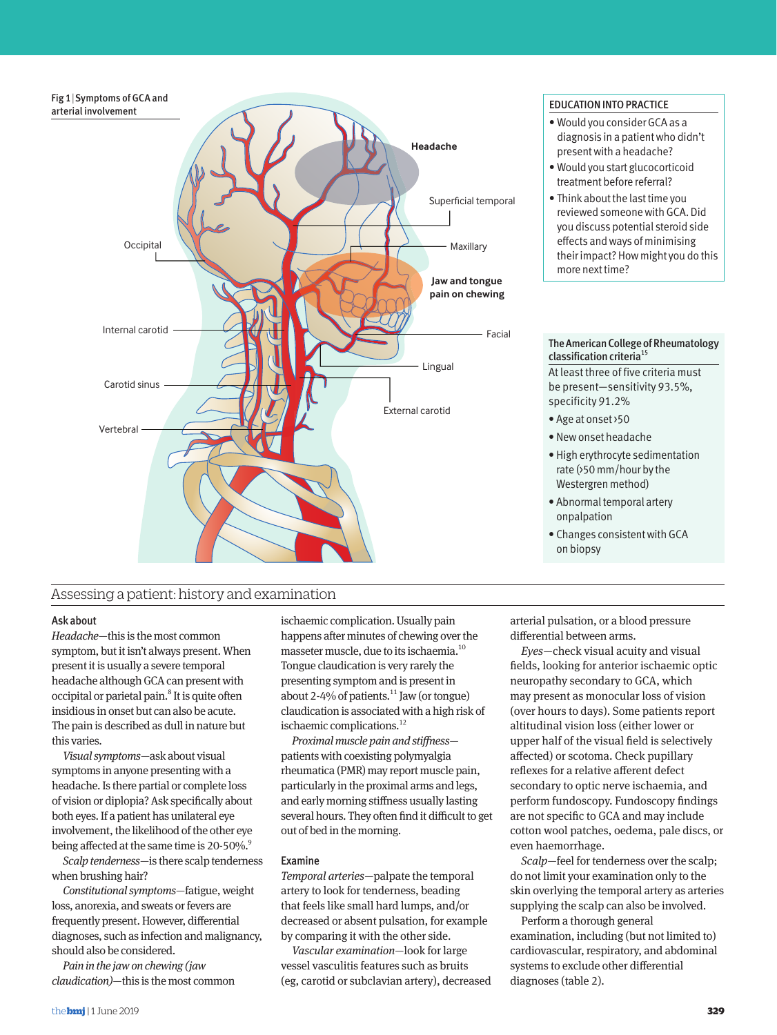

# Assessing a patient: history and examination

## Ask about

*Headache*—this is the most common symptom, but it isn't always present. When present it is usually a severe temporal headache although GCA can present with occipital or parietal pain.<sup>8</sup> It is quite often insidious in onset but can also be acute. The pain is described as dull in nature but this varies.

*Visual symptoms*—ask about visual symptoms in anyone presenting with a headache. Is there partial or complete loss of vision or diplopia? Ask specifically about both eyes. If a patient has unilateral eye involvement, the likelihood of the other eye being affected at the same time is 20-50%.<sup>9</sup>

*Scalp tenderness*—is there scalp tenderness when brushing hair?

*Constitutional symptoms*—fatigue, weight loss, anorexia, and sweats or fevers are frequently present. However, differential diagnoses, such as infection and malignancy, should also be considered.

*Pain in the jaw on chewing (jaw claudication)*—this is the most common

ischaemic complication. Usually pain happens after minutes of chewing over the masseter muscle, due to its ischaemia.10 Tongue claudication is very rarely the presenting symptom and is present in about 2-4% of patients. $^{11}$  Jaw (or tongue) claudication is associated with a high risk of ischaemic complications.<sup>12</sup>

*Proximal muscle pain and stiffness* patients with coexisting polymyalgia rheumatica (PMR) may report muscle pain, particularly in the proximal arms and legs, and early morning stiffness usually lasting several hours. They often find it difficult to get out of bed in the morning.

# Examine

*Temporal arteries*—palpate the temporal artery to look for tenderness, beading that feels like small hard lumps, and/or decreased or absent pulsation, for example by comparing it with the other side.

*Vascular examination*—look for large vessel vasculitis features such as bruits (eg, carotid or subclavian artery), decreased

- Would you consider GCA as a diagnosis in a patient who didn't present with a headache?
- Would you start glucocorticoid treatment before referral?
- Think about the last time you reviewed someone with GCA. Did you discuss potential steroid side effects and ways of minimising their impact? How might you do this more next time?

#### The American College of Rheumatology classification criteria<sup>15</sup>

At least three of five criteria must be present—sensitivity 93.5%, specificity 91.2%

- Age at onset >50
- New onset headache
- High erythrocyte sedimentation rate (>50 mm/hour by the Westergren method)
- Abnormal temporal artery onpalpation
- Changes consistent with GCA on biopsy

arterial pulsation, or a blood pressure differential between arms.

*Eyes*—check visual acuity and visual fields, looking for anterior ischaemic optic neuropathy secondary to GCA, which may present as monocular loss of vision (over hours to days). Some patients report altitudinal vision loss (either lower or upper half of the visual field is selectively affected) or scotoma. Check pupillary reflexes for a relative afferent defect secondary to optic nerve ischaemia, and perform fundoscopy. Fundoscopy findings are not specific to GCA and may include cotton wool patches, oedema, pale discs, or even haemorrhage.

*Scalp*—feel for tenderness over the scalp; do not limit your examination only to the skin overlying the temporal artery as arteries supplying the scalp can also be involved.

Perform a thorough general examination, including (but not limited to) cardiovascular, respiratory, and abdominal systems to exclude other differential diagnoses (table 2).